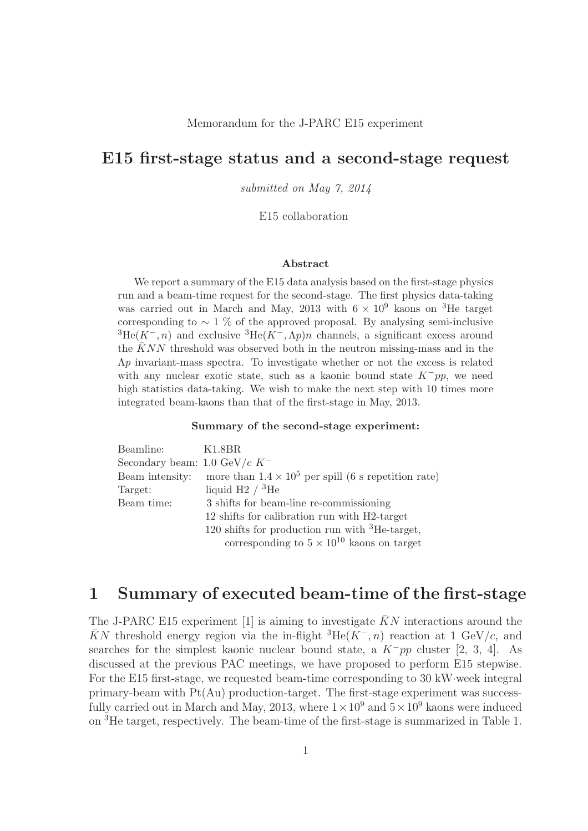#### Memorandum for the J-PARC E15 experiment

# **E15 first-stage status and a second-stage request**

*submitted on May 7, 2014*

#### E15 collaboration

#### **Abstract**

We report a summary of the E15 data analysis based on the first-stage physics run and a beam-time request for the second-stage. The first physics data-taking was carried out in March and May, 2013 with  $6 \times 10^9$  kaons on <sup>3</sup>He target corresponding to  $\sim 1$  % of the approved proposal. By analysing semi-inclusive  ${}^{3}He(K^{-}, n)$  and exclusive  ${}^{3}He(K^{-}, \Lambda p)n$  channels, a significant excess around the  $KNN$  threshold was observed both in the neutron missing-mass and in the Λ*p* invariant-mass spectra. To investigate whether or not the excess is related with any nuclear exotic state, such as a kaonic bound state *K*−*pp*, we need high statistics data-taking. We wish to make the next step with 10 times more integrated beam-kaons than that of the first-stage in May, 2013.

#### **Summary of the second-stage experiment:**

| Beamline:                        | K1.8BR                                                      |
|----------------------------------|-------------------------------------------------------------|
| Secondary beam: 1.0 GeV/ $c K^-$ |                                                             |
| Beam intensity:                  | more than $1.4 \times 10^5$ per spill (6 s repetition rate) |
| Target:                          | liquid H2 $/$ <sup>3</sup> He                               |
| Beam time:                       | 3 shifts for beam-line re-commissioning                     |
|                                  | 12 shifts for calibration run with H2-target                |
|                                  | 120 shifts for production run with ${}^{3}$ He-target,      |
|                                  | corresponding to $5 \times 10^{10}$ kaons on target         |
|                                  |                                                             |

# **1 Summary of executed beam-time of the first-stage**

The J-PARC E15 experiment [1] is aiming to investigate  $\bar{K}N$  interactions around the KN threshold energy region via the in-flight  ${}^{3}He(K^-, n)$  reaction at 1 GeV/c, and searches for the simplest kaonic nuclear bound state, a  $K^-pp$  cluster [2, 3, 4]. As discussed at the previous PAC meetings, we have proposed to perform E15 stepwise. For the E15 first-stage, we requested beam-time corresponding to 30 kW·week integral primary-beam with Pt(Au) production-target. The first-stage experiment was successfully carried out in March and May, 2013, where  $1 \times 10^9$  and  $5 \times 10^9$  kaons were induced on <sup>3</sup>He target, respectively. The beam-time of the first-stage is summarized in Table 1.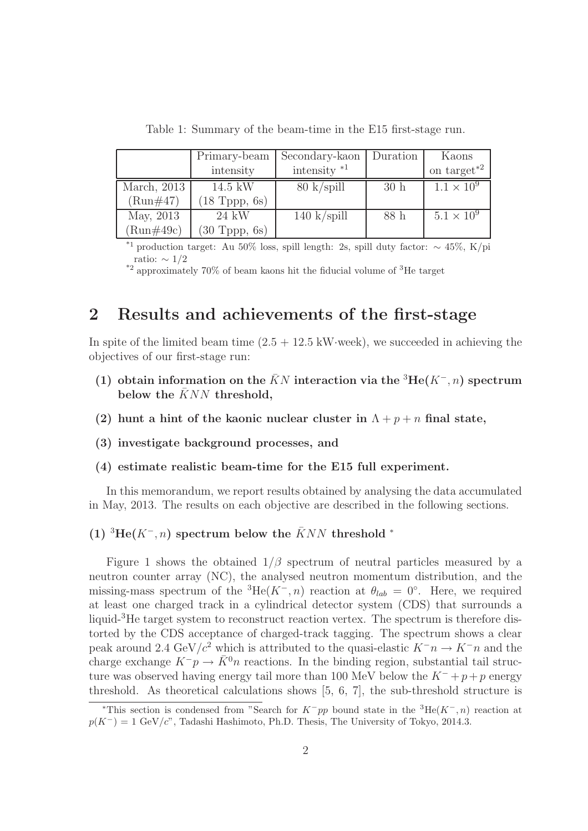|              | Primary-beam            | Secondary-kaon        | Duration | Kaons               |
|--------------|-------------------------|-----------------------|----------|---------------------|
|              | intensity               | intensity $*1$        |          | on target $*^2$     |
| March, 2013  | $14.5$ kW               | $80 \text{ k/spill}$  | 30h      | $1.1 \times 10^{9}$ |
| $(Run\#47)$  | $(18 \text{ Tppp}, 6s)$ |                       |          |                     |
| May, 2013    | $24 \text{ kW}$         | $140 \text{ k/spill}$ | 88 h     | $5.1 \times 10^{9}$ |
| $(Run\#49c)$ | $(30$ Tppp, $6s)$       |                       |          |                     |

Table 1: Summary of the beam-time in the E15 first-stage run.

<sup>\*1</sup> production target: Au 50% loss, spill length: 2s, spill duty factor:  $\sim$  45%, K/pi ratio:  $\sim 1/2$ 

\*2 approximately 70% of beam kaons hit the fiducial volume of <sup>3</sup>He target

# **2 Results and achievements of the first-stage**

In spite of the limited beam time  $(2.5 + 12.5 \text{ kW-week})$ , we succeeded in achieving the objectives of our first-stage run:

- (1) obtain information on the  $\bar{K}N$  interaction via the <sup>3</sup>He( $K^-$ , n) spectrum below the  $\bar{K}NN$  threshold,
- **(2) hunt a hint of the kaonic nuclear cluster in**  $\Lambda + p + n$  final state,
- **(3) investigate background processes, and**
- **(4) estimate realistic beam-time for the E15 full experiment.**

In this memorandum, we report results obtained by analysing the data accumulated in May, 2013. The results on each objective are described in the following sections.

#### $(1)$ <sup>3</sup>He( $K^-$ , n) spectrum below the  $\bar{K}NN$  threshold <sup>\*</sup>

Figure 1 shows the obtained  $1/\beta$  spectrum of neutral particles measured by a neutron counter array (NC), the analysed neutron momentum distribution, and the missing-mass spectrum of the <sup>3</sup>He( $K^-$ , n) reaction at  $\theta_{lab} = 0^\circ$ . Here, we required at least one charged track in a cylindrical detector system (CDS) that surrounds a liquid-<sup>3</sup>He target system to reconstruct reaction vertex. The spectrum is therefore distorted by the CDS acceptance of charged-track tagging. The spectrum shows a clear peak around 2.4 GeV/ $c^2$  which is attributed to the quasi-elastic  $K^-\eta \to K^-\eta$  and the charge exchange  $K^-p \to \bar{K}^0 n$  reactions. In the binding region, substantial tail structure was observed having energy tail more than 100 MeV below the  $K^- + p+p$  energy threshold. As theoretical calculations shows [5, 6, 7], the sub-threshold structure is

<sup>&</sup>lt;sup>\*</sup>This section is condensed from "Search for  $K^-pp$  bound state in the <sup>3</sup>He( $K^-$ , *n*) reaction at  $p(K^-) = 1 \text{ GeV}/c$ ", Tadashi Hashimoto, Ph.D. Thesis, The University of Tokyo, 2014.3.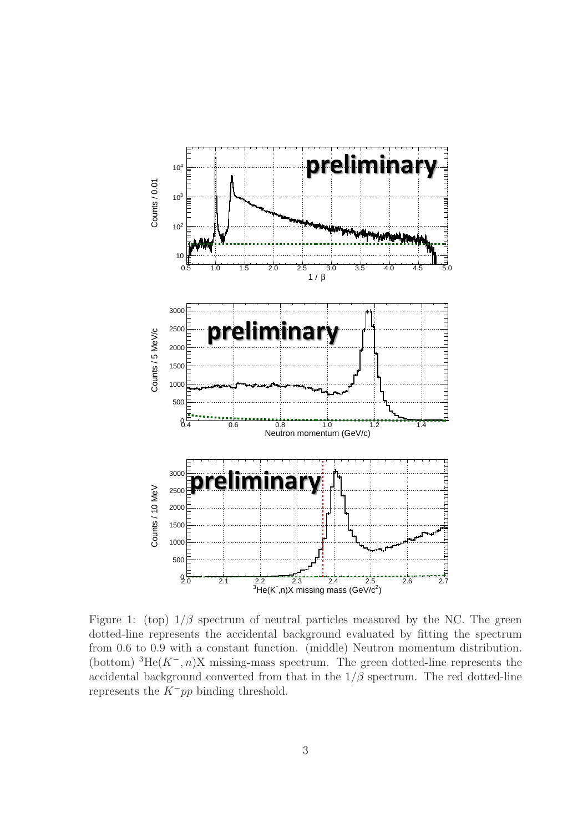

Figure 1: (top)  $1/\beta$  spectrum of neutral particles measured by the NC. The green dotted-line represents the accidental background evaluated by fitting the spectrum from 0.6 to 0.9 with a constant function. (middle) Neutron momentum distribution. (bottom)  ${}^{3}$ He(K<sup>-</sup>, n)X missing-mass spectrum. The green dotted-line represents the accidental background converted from that in the  $1/\beta$  spectrum. The red dotted-line represents the  $K^-pp$  binding threshold.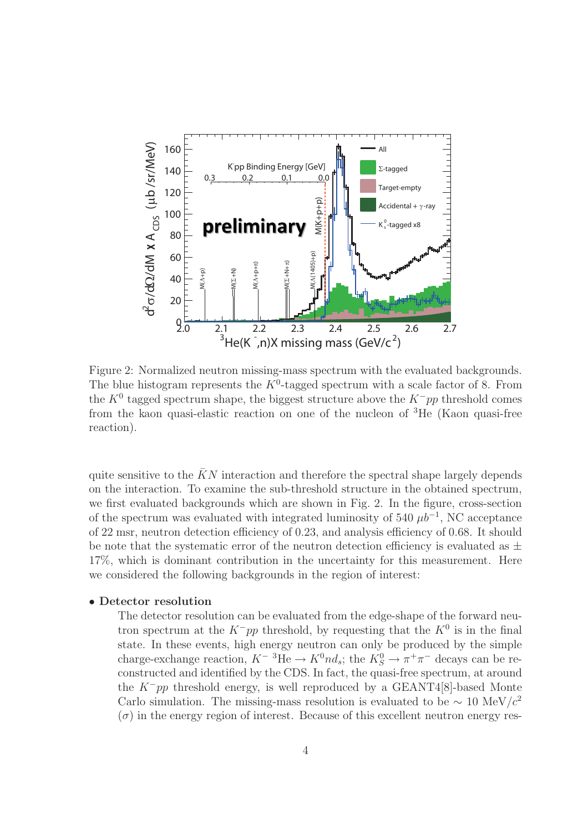

Figure 2: Normalized neutron missing-mass spectrum with the evaluated backgrounds. The blue histogram represents the  $K^0$ -tagged spectrum with a scale factor of 8. From the  $K^0$  tagged spectrum shape, the biggest structure above the  $K^-pp$  threshold comes from the kaon quasi-elastic reaction on one of the nucleon of <sup>3</sup>He (Kaon quasi-free reaction).

quite sensitive to the  $\bar{K}N$  interaction and therefore the spectral shape largely depends on the interaction. To examine the sub-threshold structure in the obtained spectrum, we first evaluated backgrounds which are shown in Fig. 2. In the figure, cross-section of the spectrum was evaluated with integrated luminosity of 540  $\mu b^{-1}$ , NC acceptance of 22 msr, neutron detection efficiency of 0.23, and analysis efficiency of 0.68. It should be note that the systematic error of the neutron detection efficiency is evaluated as  $\pm$ 17%, which is dominant contribution in the uncertainty for this measurement. Here we considered the following backgrounds in the region of interest:

### • **Detector resolution**

The detector resolution can be evaluated from the edge-shape of the forward neutron spectrum at the  $K^-pp$  threshold, by requesting that the  $K^0$  is in the final state. In these events, high energy neutron can only be produced by the simple charge-exchange reaction,  $K^{-3}He \to K^0nd_s$ ; the  $K_S^0 \to \pi^+\pi^-$  decays can be re-<br>constructed and identified by the CDS. In fact, the quasi-free gnettum, at around constructed and identified by the CDS. In fact, the quasi-free spectrum, at around the  $K^-pp$  threshold energy, is well reproduced by a GEANT4[8]-based Monte Carlo simulation. The missing-mass resolution is evaluated to be  $\sim 10 \text{ MeV}/c^2$  $(\sigma)$  in the energy region of interest. Because of this excellent neutron energy res-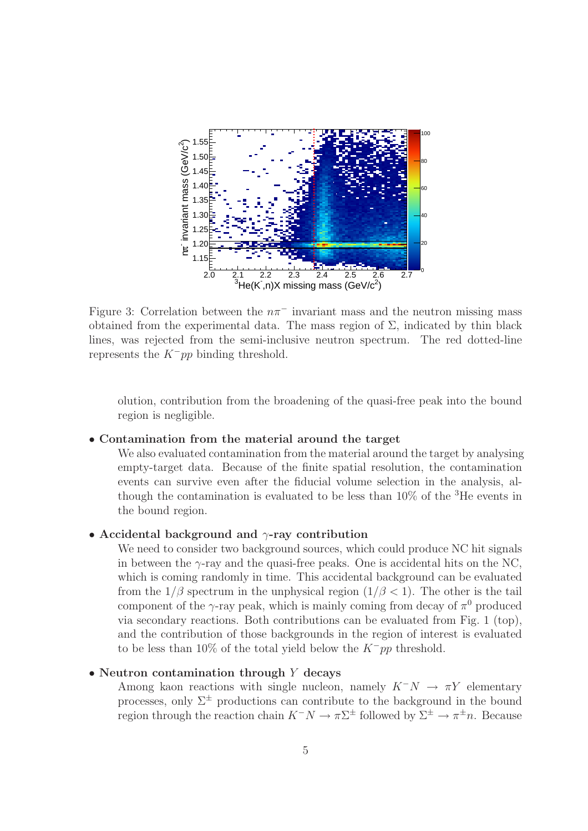

Figure 3: Correlation between the  $n\pi^-$  invariant mass and the neutron missing mass obtained from the experimental data. The mass region of  $\Sigma$ , indicated by thin black lines, was rejected from the semi-inclusive neutron spectrum. The red dotted-line represents the  $K^-pp$  binding threshold.

olution, contribution from the broadening of the quasi-free peak into the bound region is negligible.

#### • **Contamination from the material around the target**

We also evaluated contamination from the material around the target by analysing empty-target data. Because of the finite spatial resolution, the contamination events can survive even after the fiducial volume selection in the analysis, although the contamination is evaluated to be less than  $10\%$  of the  ${}^{3}$ He events in the bound region.

### • **Accidental background and** <sup>γ</sup>**-ray contribution**

We need to consider two background sources, which could produce NC hit signals in between the  $\gamma$ -ray and the quasi-free peaks. One is accidental hits on the NC, which is coming randomly in time. This accidental background can be evaluated from the  $1/\beta$  spectrum in the unphysical region  $(1/\beta < 1)$ . The other is the tail component of the  $\gamma$ -ray peak, which is mainly coming from decay of  $\pi^0$  produced via secondary reactions. Both contributions can be evaluated from Fig. 1 (top), and the contribution of those backgrounds in the region of interest is evaluated to be less than 10% of the total yield below the  $K^-pp$  threshold.

### • **Neutron contamination through** <sup>Y</sup> **decays**

Among kaon reactions with single nucleon, namely  $K^-N \to \pi Y$  elementary processes, only  $\Sigma^{\pm}$  productions can contribute to the background in the bound region through the reaction chain  $K^-N \to \pi\Sigma^{\pm}$  followed by  $\Sigma^{\pm} \to \pi^{\pm}n$ . Because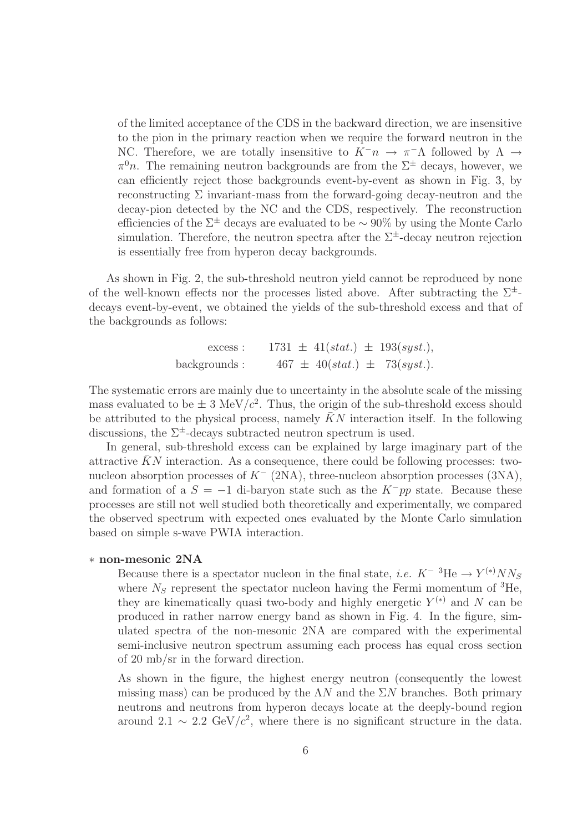of the limited acceptance of the CDS in the backward direction, we are insensitive to the pion in the primary reaction when we require the forward neutron in the NC. Therefore, we are totally insensitive to  $K^-\pi \to \pi^-\Lambda$  followed by  $\Lambda \to$  $\pi^0 n$ . The remaining neutron backgrounds are from the  $\Sigma^{\pm}$  decays, however, we can efficiently reject those backgrounds event-by-event as shown in Fig. 3, by reconstructing  $\Sigma$  invariant-mass from the forward-going decay-neutron and the decay-pion detected by the NC and the CDS, respectively. The reconstruction efficiencies of the  $\Sigma^{\pm}$  decays are evaluated to be  $\sim 90\%$  by using the Monte Carlo simulation. Therefore, the neutron spectra after the  $\Sigma^{\pm}$ -decay neutron rejection is essentially free from hyperon decay backgrounds.

As shown in Fig. 2, the sub-threshold neutron yield cannot be reproduced by none of the well-known effects nor the processes listed above. After subtracting the  $\Sigma^{\pm}$ decays event-by-event, we obtained the yields of the sub-threshold excess and that of the backgrounds as follows:

> excess : 1731  $\pm$  41(stat.)  $\pm$  193(syst.), backgrounds :  $467 \pm 40(stat.) \pm 73(syst.).$

The systematic errors are mainly due to uncertainty in the absolute scale of the missing mass evaluated to be  $\pm$  3 MeV/ $c^2$ . Thus, the origin of the sub-threshold excess should be attributed to the physical process, namely  $\bar{K}N$  interaction itself. In the following discussions, the  $\Sigma^{\pm}$ -decays subtracted neutron spectrum is used.

In general, sub-threshold excess can be explained by large imaginary part of the attractive  $KN$  interaction. As a consequence, there could be following processes: twonucleon absorption processes of  $K^-$  (2NA), three-nucleon absorption processes (3NA), and formation of a  $S = -1$  di-baryon state such as the  $K^-pp$  state. Because these processes are still not well studied both theoretically and experimentally, we compared the observed spectrum with expected ones evaluated by the Monte Carlo simulation based on simple s-wave PWIA interaction.

### ∗ **non-mesonic 2NA**

Because there is a spectator nucleon in the final state, *i.e.*  $K^{-3}$ He  $\rightarrow Y^{(*)}NN$ where  $N_S$  represent the spectator nucleon having the Fermi momentum of <sup>3</sup>He, they are kinematically quasi two-body and highly energetic  $Y^{(*)}$  and N can be produced in rather narrow energy band as shown in Fig. 4. In the figure, simulated spectra of the non-mesonic 2NA are compared with the experimental semi-inclusive neutron spectrum assuming each process has equal cross section of 20 mb/sr in the forward direction.

As shown in the figure, the highest energy neutron (consequently the lowest missing mass) can be produced by the  $\Lambda N$  and the  $\Sigma N$  branches. Both primary neutrons and neutrons from hyperon decays locate at the deeply-bound region around 2.1  $\sim$  2.2 GeV/c<sup>2</sup>, where there is no significant structure in the data.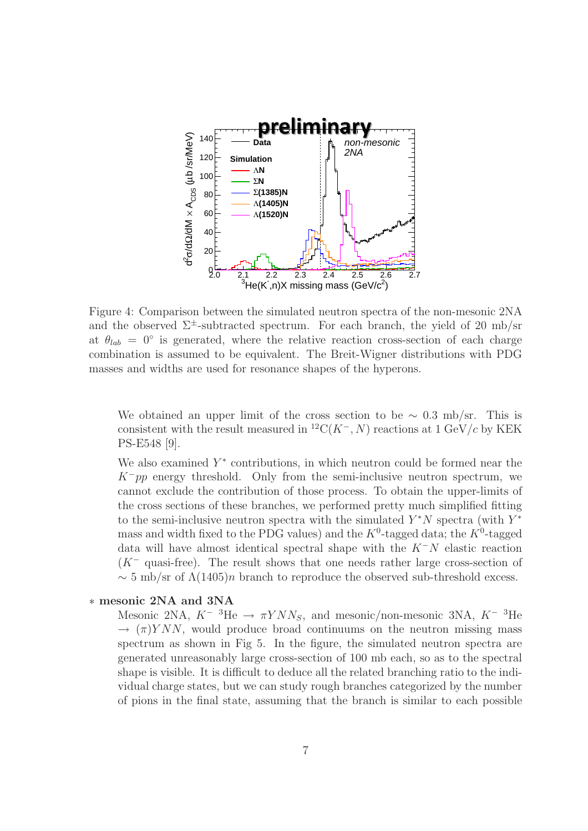

Figure 4: Comparison between the simulated neutron spectra of the non-mesonic 2NA and the observed  $\Sigma^{\pm}$ -subtracted spectrum. For each branch, the yield of 20 mb/sr at  $\theta_{lab} = 0^{\circ}$  is generated, where the relative reaction cross-section of each charge combination is assumed to be equivalent. The Breit-Wigner distributions with PDG masses and widths are used for resonance shapes of the hyperons.

We obtained an upper limit of the cross section to be  $\sim 0.3$  mb/sr. This is consistent with the result measured in  ${}^{12}C(K^-, N)$  reactions at 1 GeV/c by KEK PS-E548 [9].

We also examined  $Y^*$  contributions, in which neutron could be formed near the  $K^-pp$  energy threshold. Only from the semi-inclusive neutron spectrum, we cannot exclude the contribution of those process. To obtain the upper-limits of the cross sections of these branches, we performed pretty much simplified fitting to the semi-inclusive neutron spectra with the simulated  $Y^*N$  spectra (with  $Y^*$ mass and width fixed to the PDG values) and the  $K^0$ -tagged data; the  $K^0$ -tagged data will have almost identical spectral shape with the  $K^-N$  elastic reaction  $(K<sup>-</sup>$  quasi-free). The result shows that one needs rather large cross-section of  $\sim$  5 mb/sr of  $\Lambda(1405)n$  branch to reproduce the observed sub-threshold excess.

## ∗ **mesonic 2NA and 3NA**

Mesonic 2NA,  $K^{-3}$ He  $\rightarrow \pi YNN_S$ , and mesonic/non-mesonic 3NA,  $K^{-3}$ He  $\rightarrow (\pi)YNN$ , would produce broad continuums on the neutron missing mass spectrum as shown in Fig 5. In the figure, the simulated neutron spectra are generated unreasonably large cross-section of 100 mb each, so as to the spectral shape is visible. It is difficult to deduce all the related branching ratio to the individual charge states, but we can study rough branches categorized by the number of pions in the final state, assuming that the branch is similar to each possible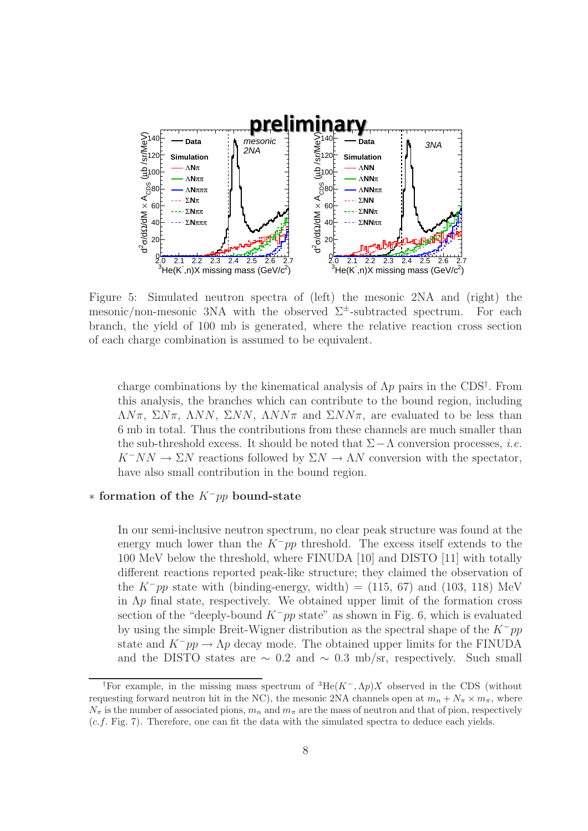

Figure 5: Simulated neutron spectra of (left) the mesonic 2NA and (right) the mesonic/non-mesonic 3NA with the observed  $\Sigma^{\pm}$ -subtracted spectrum. For each branch, the yield of 100 mb is generated, where the relative reaction cross section of each charge combination is assumed to be equivalent.

charge combinations by the kinematical analysis of  $\Lambda p$  pairs in the CDS<sup>†</sup>. From this analysis, the branches which can contribute to the bound region, including  $\Lambda N\pi$ ,  $\Sigma N\pi$ ,  $\Lambda NN$ ,  $\Sigma NN$ ,  $\Lambda NN\pi$  and  $\Sigma NN\pi$ , are evaluated to be less than 6 mb in total. Thus the contributions from these channels are much smaller than the sub-threshold excess. It should be noted that  $\Sigma-\Lambda$  conversion processes, *i.e.*  $K^-NN \to \Sigma N$  reactions followed by  $\Sigma N \to \Lambda N$  conversion with the spectator, have also small contribution in the bound region.

### <sup>∗</sup> **formation of the** <sup>K</sup>−pp **bound-state**

In our semi-inclusive neutron spectrum, no clear peak structure was found at the energy much lower than the  $K^-pp$  threshold. The excess itself extends to the 100 MeV below the threshold, where FINUDA [10] and DISTO [11] with totally different reactions reported peak-like structure; they claimed the observation of the K<sup>-</sup>pp state with (binding-energy, width) = (115, 67) and (103, 118) MeV in  $\Lambda p$  final state, respectively. We obtained upper limit of the formation cross section of the "deeply-bound  $K^-pp$  state" as shown in Fig. 6, which is evaluated by using the simple Breit-Wigner distribution as the spectral shape of the  $K^-pp$ state and  $K^-pp \to \Lambda p$  decay mode. The obtained upper limits for the FINUDA and the DISTO states are  $\sim 0.2$  and  $\sim 0.3$  mb/sr, respectively. Such small

<sup>†</sup>For example, in the missing mass spectrum of <sup>3</sup>He(*K*−*,*Λ*p*)*X* observed in the CDS (without requesting forward neutron hit in the NC), the mesonic 2NA channels open at  $m_n + N_\pi \times m_\pi$ , where  $N_{\pi}$  is the number of associated pions,  $m_n$  and  $m_{\pi}$  are the mass of neutron and that of pion, respectively (*c.f.* Fig. 7). Therefore, one can fit the data with the simulated spectra to deduce each yields.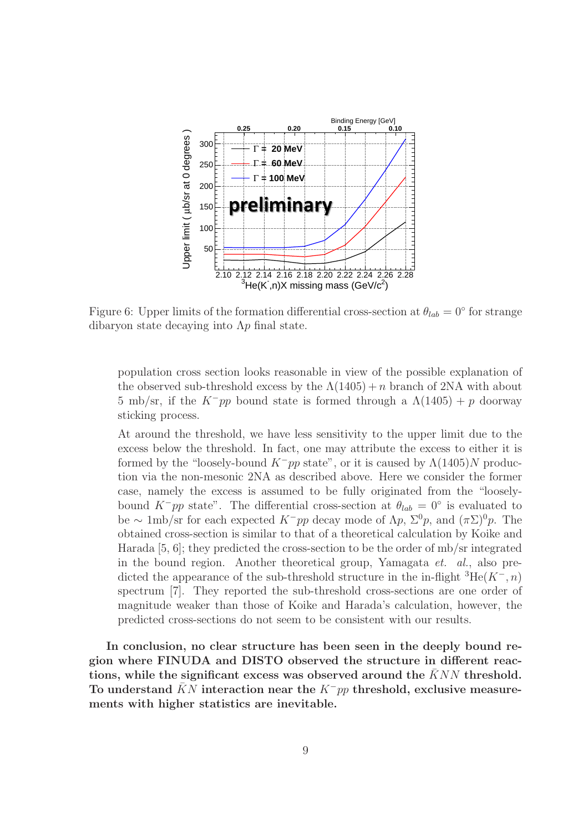

Figure 6: Upper limits of the formation differential cross-section at  $\theta_{lab} = 0^{\circ}$  for strange dibaryon state decaying into  $\Lambda p$  final state.

population cross section looks reasonable in view of the possible explanation of the observed sub-threshold excess by the  $\Lambda(1405) + n$  branch of 2NA with about 5 mb/sr, if the  $K^-pp$  bound state is formed through a  $\Lambda(1405) + p$  doorway sticking process.

At around the threshold, we have less sensitivity to the upper limit due to the excess below the threshold. In fact, one may attribute the excess to either it is formed by the "loosely-bound  $K^-pp$  state", or it is caused by  $\Lambda(1405)N$  production via the non-mesonic 2NA as described above. Here we consider the former case, namely the excess is assumed to be fully originated from the "looselybound K<sup>-</sup>pp state". The differential cross-section at  $\theta_{lab} = 0$ ° is evaluated to be ∼ 1mb/sr for each expected  $K^-pp$  decay mode of  $\Lambda p$ ,  $\Sigma^0 p$ , and  $(\pi \Sigma)^0 p$ . The obtained cross-section is similar to that of a theoretical calculation by Koike and Harada  $[5, 6]$ ; they predicted the cross-section to be the order of mb/sr integrated in the bound region. Another theoretical group, Yamagata *et. al.*, also predicted the appearance of the sub-threshold structure in the in-flight  ${}^{3}He(K^-, n)$ spectrum [7]. They reported the sub-threshold cross-sections are one order of magnitude weaker than those of Koike and Harada's calculation, however, the predicted cross-sections do not seem to be consistent with our results.

**In conclusion, no clear structure has been seen in the deeply bound region where FINUDA and DISTO observed the structure in different reactions, while the significant excess was observed around the** KNN threshold. To understand KN interaction near the K<sup>−</sup>pp threshold, exclusive measure**ments with higher statistics are inevitable.**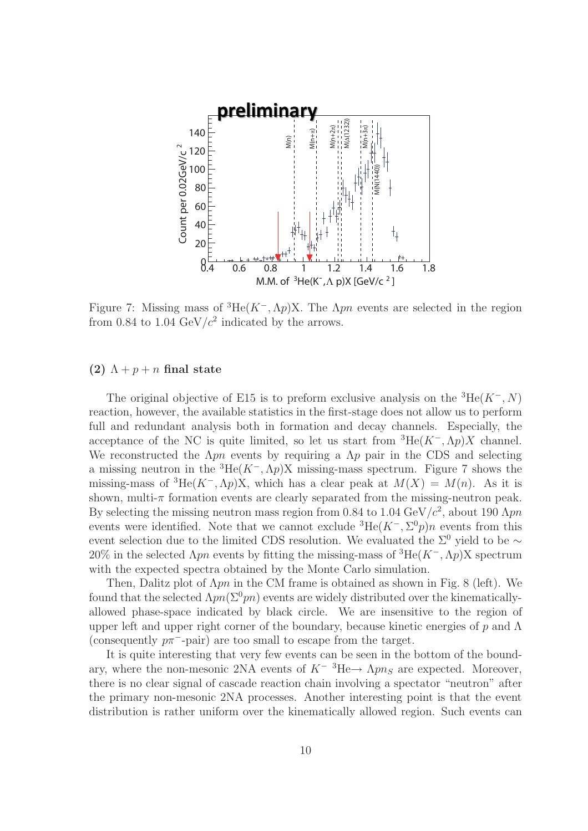

Figure 7: Missing mass of  ${}^{3}He(K^{-}, \Lambda p)X$ . The  $\Lambda pn$  events are selected in the region from 0.84 to 1.04 GeV/ $c^2$  indicated by the arrows.

### **(2)**  $\Lambda + p + n$  **final state**

The original objective of E15 is to preform exclusive analysis on the  ${}^{3}$ He(K<sup>-</sup>, N) reaction, however, the available statistics in the first-stage does not allow us to perform full and redundant analysis both in formation and decay channels. Especially, the acceptance of the NC is quite limited, so let us start from  ${}^{3}He(K^{-}, \Lambda p)X$  channel. We reconstructed the  $\Lambda pn$  events by requiring a  $\Lambda p$  pair in the CDS and selecting a missing neutron in the  ${}^{3}He(K^{-}, \Lambda p)X$  missing-mass spectrum. Figure 7 shows the missing-mass of <sup>3</sup>He(K<sup>-</sup>,  $\Lambda p$ )X, which has a clear peak at  $M(X) = M(n)$ . As it is shown, multi- $\pi$  formation events are clearly separated from the missing-neutron peak. By selecting the missing neutron mass region from 0.84 to 1.04 GeV/ $c^2$ , about 190  $\Lambda pn$ events were identified. Note that we cannot exclude  ${}^{3}He(K^{-}, \Sigma^{0}p)n$  events from this event selection due to the limited CDS resolution. We evaluated the  $\Sigma^0$  yield to be ∼ 20% in the selected  $\Lambda pn$  events by fitting the missing-mass of <sup>3</sup>He(K<sup>-</sup>,  $\Lambda p$ )X spectrum with the expected spectra obtained by the Monte Carlo simulation.

Then, Dalitz plot of  $\Lambda pn$  in the CM frame is obtained as shown in Fig. 8 (left). We found that the selected  $\Lambda pn(\Sigma^0pn)$  events are widely distributed over the kinematicallyallowed phase-space indicated by black circle. We are insensitive to the region of upper left and upper right corner of the boundary, because kinetic energies of p and  $\Lambda$ (consequently  $p\pi^-$ -pair) are too small to escape from the target.

It is quite interesting that very few events can be seen in the bottom of the boundary, where the non-mesonic 2NA events of  $K^{-3}He \rightarrow \Lambda pn_S$  are expected. Moreover, there is no clear signal of cascade reaction chain involving a spectator "neutron" after the primary non-mesonic 2NA processes. Another interesting point is that the event distribution is rather uniform over the kinematically allowed region. Such events can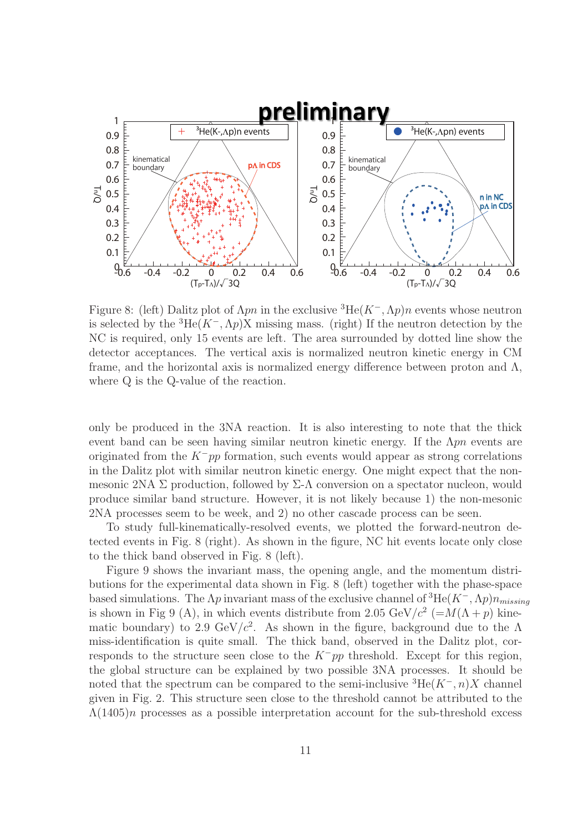

Figure 8: (left) Dalitz plot of  $\Lambda pn$  in the exclusive <sup>3</sup>He( $K^-$ ,  $\Lambda p$ )n events whose neutron is selected by the <sup>3</sup>He( $K^-$ ,  $\Lambda p$ )X missing mass. (right) If the neutron detection by the NC is required, only 15 events are left. The area surrounded by dotted line show the detector acceptances. The vertical axis is normalized neutron kinetic energy in CM frame, and the horizontal axis is normalized energy difference between proton and  $\Lambda$ , where Q is the Q-value of the reaction.

only be produced in the 3NA reaction. It is also interesting to note that the thick event band can be seen having similar neutron kinetic energy. If the  $\Lambda pn$  events are originated from the  $K^-pp$  formation, such events would appear as strong correlations in the Dalitz plot with similar neutron kinetic energy. One might expect that the nonmesonic 2NA  $\Sigma$  production, followed by  $\Sigma$ -Λ conversion on a spectator nucleon, would produce similar band structure. However, it is not likely because 1) the non-mesonic 2NA processes seem to be week, and 2) no other cascade process can be seen.

To study full-kinematically-resolved events, we plotted the forward-neutron detected events in Fig. 8 (right). As shown in the figure, NC hit events locate only close to the thick band observed in Fig. 8 (left).

Figure 9 shows the invariant mass, the opening angle, and the momentum distributions for the experimental data shown in Fig. 8 (left) together with the phase-space based simulations. The  $\Lambda p$  invariant mass of the exclusive channel of <sup>3</sup>He( $K^-$ ,  $\Lambda p$ ) $n_{missing}$ is shown in Fig 9 (A), in which events distribute from 2.05 GeV/ $c^2$  (=M( $\Lambda$  + p) kinematic boundary) to 2.9 GeV/ $c^2$ . As shown in the figure, background due to the  $\Lambda$ miss-identification is quite small. The thick band, observed in the Dalitz plot, corresponds to the structure seen close to the  $K^-pp$  threshold. Except for this region, the global structure can be explained by two possible 3NA processes. It should be noted that the spectrum can be compared to the semi-inclusive  ${}^{3}He(K^-, n)X$  channel given in Fig. 2. This structure seen close to the threshold cannot be attributed to the  $\Lambda(1405)n$  processes as a possible interpretation account for the sub-threshold excess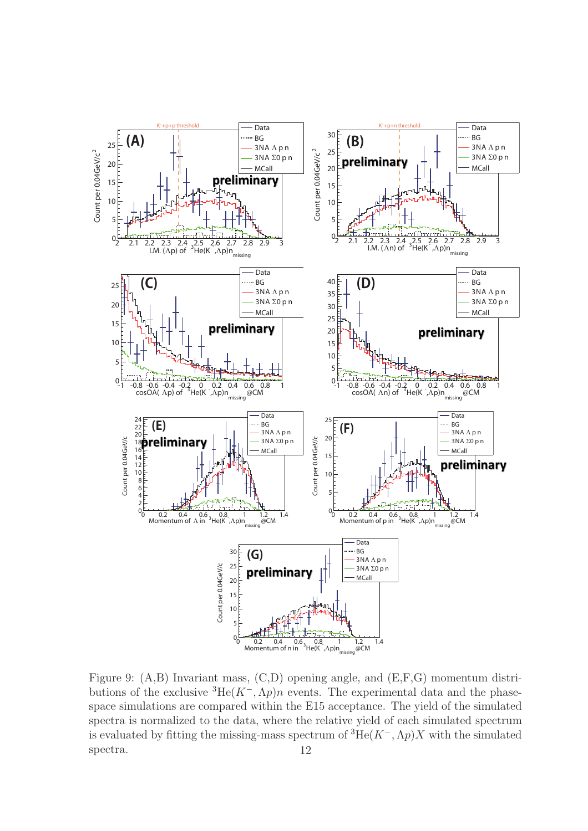

Figure 9: (A,B) Invariant mass, (C,D) opening angle, and (E,F,G) momentum distributions of the exclusive  ${}^{3}He(K^{-},\Lambda p)n$  events. The experimental data and the phasespace simulations are compared within the E15 acceptance. The yield of the simulated spectra is normalized to the data, where the relative yield of each simulated spectrum is evaluated by fitting the missing-mass spectrum of  ${}^{3}He(K^{-}, \Lambda p)X$  with the simulated spectra. 12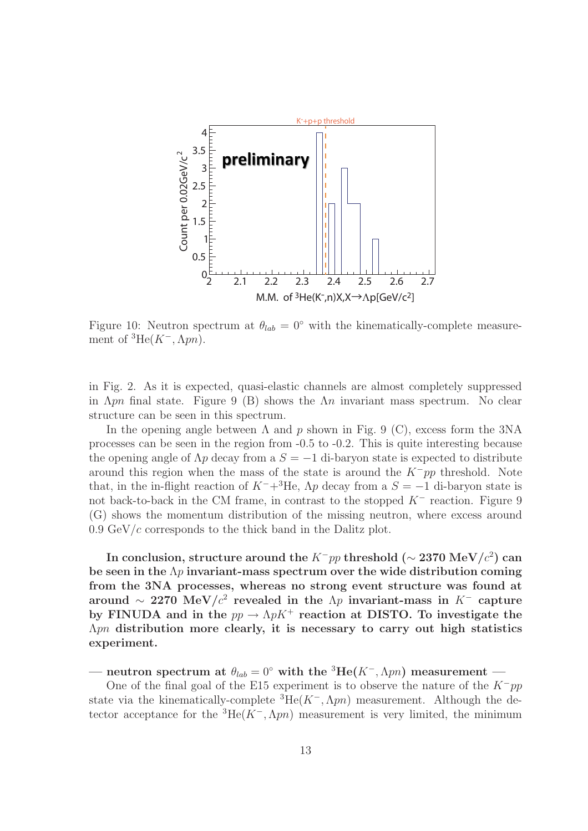

Figure 10: Neutron spectrum at  $\theta_{lab} = 0^\circ$  with the kinematically-complete measurement of  ${}^{3}\text{He}(K^-,\Lambda pn)$ .

in Fig. 2. As it is expected, quasi-elastic channels are almost completely suppressed in  $\Lambda pn$  final state. Figure 9 (B) shows the  $\Lambda n$  invariant mass spectrum. No clear structure can be seen in this spectrum.

In the opening angle between  $\Lambda$  and  $p$  shown in Fig. 9 (C), excess form the 3NA processes can be seen in the region from -0.5 to -0.2. This is quite interesting because the opening angle of  $\Lambda p$  decay from a  $S = -1$  di-baryon state is expected to distribute around this region when the mass of the state is around the  $K^-pp$  threshold. Note that, in the in-flight reaction of  $K^-+{}^3\textrm{He}$ ,  $\Lambda p$  decay from a  $S = -1$  di-baryon state is not back-to-back in the CM frame, in contrast to the stopped  $K^-$  reaction. Figure 9 (G) shows the momentum distribution of the missing neutron, where excess around  $0.9 \text{ GeV}/c$  corresponds to the thick band in the Dalitz plot.

**In conclusion, structure around the** <sup>K</sup>−pp **threshold (**<sup>∼</sup> **2370 MeV/**c<sup>2</sup>**) can be seen in the** Λp **invariant-mass spectrum over the wide distribution coming from the 3NA processes, whereas no strong event structure was found at around** ∼ 2270 MeV/ $c^2$  revealed in the  $\Lambda p$  **invariant-mass in** K<sup>−</sup> capture by FINUDA and in the  $pp \to \Lambda p K^+$  reaction at DISTO. To investigate the Λpn **distribution more clearly, it is necessary to carry out high statistics experiment.**

**neutron spectrum at**  $\theta_{lab} = 0^\circ$  with the <sup>3</sup>He( $K^-$ ,  $\Lambda pn$ ) measurement —

One of the final goal of the E15 experiment is to observe the nature of the  $K^-pp$ state via the kinematically-complete  ${}^{3}He(K^{-}, \Lambda pn)$  measurement. Although the detector acceptance for the  ${}^{3}He(K^{-}, \Lambda pn)$  measurement is very limited, the minimum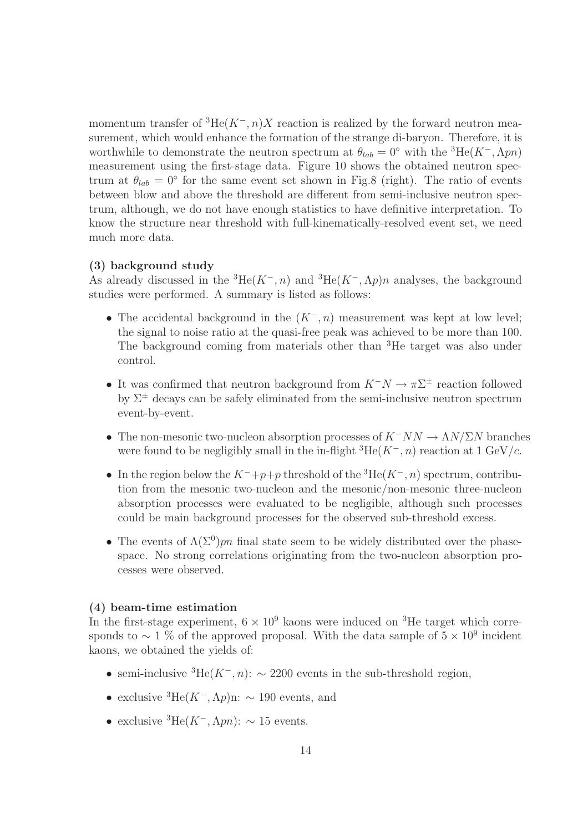momentum transfer of  ${}^{3}He(K^-, n)X$  reaction is realized by the forward neutron measurement, which would enhance the formation of the strange di-baryon. Therefore, it is worthwhile to demonstrate the neutron spectrum at  $\theta_{lab} = 0^{\circ}$  with the <sup>3</sup>He(K<sup>-</sup>,  $\Lambda pn$ ) measurement using the first-stage data. Figure 10 shows the obtained neutron spectrum at  $\theta_{lab} = 0^\circ$  for the same event set shown in Fig.8 (right). The ratio of events between blow and above the threshold are different from semi-inclusive neutron spectrum, although, we do not have enough statistics to have definitive interpretation. To know the structure near threshold with full-kinematically-resolved event set, we need much more data.

### **(3) background study**

As already discussed in the  ${}^{3}He(K^-, n)$  and  ${}^{3}He(K^-, \Lambda p)n$  analyses, the background studies were performed. A summary is listed as follows:

- The accidental background in the  $(K^-, n)$  measurement was kept at low level; the signal to noise ratio at the quasi-free peak was achieved to be more than 100. The background coming from materials other than <sup>3</sup>He target was also under control.
- It was confirmed that neutron background from  $K^-N \to \pi\Sigma^{\pm}$  reaction followed by  $\Sigma^{\pm}$  decays can be safely eliminated from the semi-inclusive neutron spectrum event-by-event.
- The non-mesonic two-nucleon absorption processes of  $K^-NN \to \Lambda N/\Sigma N$  branches were found to be negligibly small in the in-flight  ${}^{3}He(K^-, n)$  reaction at 1 GeV/c.
- In the region below the  $K^-+p+p$  threshold of the <sup>3</sup>He( $K^-$ , n) spectrum, contribution from the mesonic two-nucleon and the mesonic/non-mesonic three-nucleon absorption processes were evaluated to be negligible, although such processes could be main background processes for the observed sub-threshold excess.
- The events of  $\Lambda(\Sigma^0)$ *pn* final state seem to be widely distributed over the phasespace. No strong correlations originating from the two-nucleon absorption processes were observed.

### **(4) beam-time estimation**

In the first-stage experiment,  $6 \times 10^9$  kaons were induced on <sup>3</sup>He target which corresponds to  $\sim 1$  % of the approved proposal. With the data sample of  $5 \times 10^9$  incident kaons, we obtained the yields of:

- semi-inclusive  ${}^{3}\text{He}(K^-, n): \sim 2200$  events in the sub-threshold region,
- exclusive  ${}^{3}\text{He}(K^-,\Lambda p)$ n:  $\sim 190$  events, and
- exclusive  ${}^{3}\text{He}(K^-,\Lambda pn): \sim 15$  events.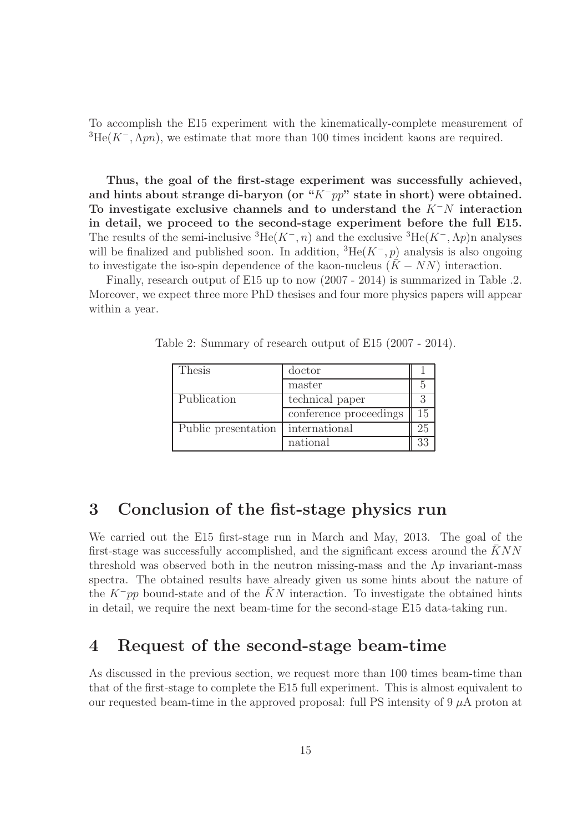To accomplish the E15 experiment with the kinematically-complete measurement of  ${}^{3}\text{He}(K^-,\Lambda pn)$ , we estimate that more than 100 times incident kaons are required.

**Thus, the goal of the first-stage experiment was successfully achieved, and hints about strange di-baryon (or "**K−pp**" state in short) were obtained. To investigate exclusive channels and to understand the** K−N **interaction in detail, we proceed to the second-stage experiment before the full E15.** The results of the semi-inclusive  ${}^{3}He(K^-, n)$  and the exclusive  ${}^{3}He(K^-, \Lambda p)$ n analyses will be finalized and published soon. In addition,  ${}^{3}\text{He}(K^-, p)$  analysis is also ongoing to investigate the iso-spin dependence of the kaon-nucleus  $(K - NN)$  interaction.

Finally, research output of E15 up to now (2007 - 2014) is summarized in Table .2. Moreover, we expect three more PhD thesises and four more physics papers will appear within a year.

| <b>Thesis</b>       | doctor                 |    |
|---------------------|------------------------|----|
|                     | master                 |    |
| Publication         | technical paper        |    |
|                     | conference proceedings | 15 |
| Public presentation | international          |    |
|                     | national               |    |

Table 2: Summary of research output of E15 (2007 - 2014).

# **3 Conclusion of the fist-stage physics run**

We carried out the E15 first-stage run in March and May, 2013. The goal of the first-stage was successfully accomplished, and the significant excess around the  $KNN$ threshold was observed both in the neutron missing-mass and the  $\Lambda p$  invariant-mass spectra. The obtained results have already given us some hints about the nature of the K<sup>−</sup>pp bound-state and of the KN interaction. To investigate the obtained hints in detail, we require the next beam-time for the second-stage E15 data-taking run.

# **4 Request of the second-stage beam-time**

As discussed in the previous section, we request more than 100 times beam-time than that of the first-stage to complete the E15 full experiment. This is almost equivalent to our requested beam-time in the approved proposal: full PS intensity of 9  $\mu$ A proton at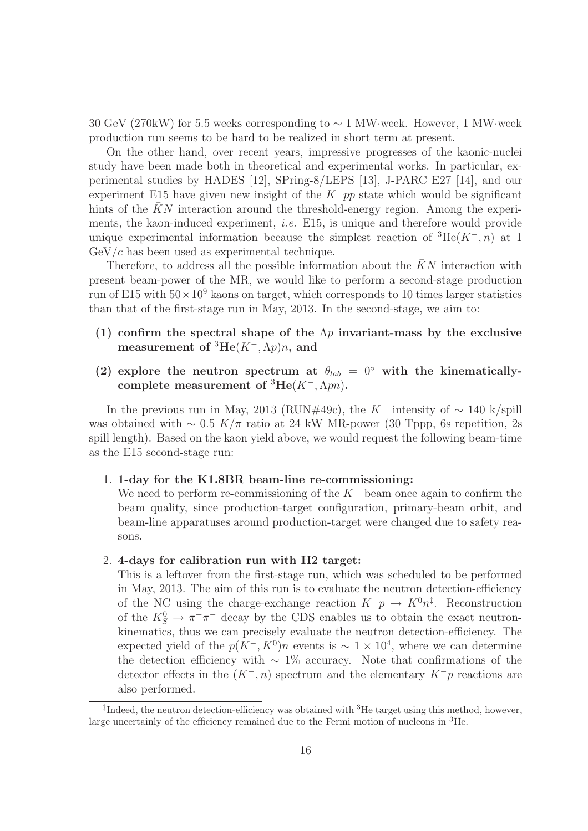30 GeV (270kW) for 5.5 weeks corresponding to ∼ 1 MW·week. However, 1 MW·week production run seems to be hard to be realized in short term at present.

On the other hand, over recent years, impressive progresses of the kaonic-nuclei study have been made both in theoretical and experimental works. In particular, experimental studies by HADES [12], SPring-8/LEPS [13], J-PARC E27 [14], and our experiment E15 have given new insight of the  $K^-pp$  state which would be significant hints of the  $KN$  interaction around the threshold-energy region. Among the experiments, the kaon-induced experiment, *i.e.* E15, is unique and therefore would provide unique experimental information because the simplest reaction of  ${}^{3}He(K^{-}, n)$  at 1  $GeV/c$  has been used as experimental technique.

Therefore, to address all the possible information about the  $\bar{K}N$  interaction with present beam-power of the MR, we would like to perform a second-stage production run of E15 with  $50 \times 10^9$  kaons on target, which corresponds to 10 times larger statistics than that of the first-stage run in May, 2013. In the second-stage, we aim to:

- **(1) confirm the spectral shape of the** Λp **invariant-mass by the exclusive measurement of** <sup>3</sup>**He**(K−,Λp)n**, and**
- (2) explore the neutron spectrum at  $\theta_{lab} = 0^\circ$  with the kinematically**complete measurement of**  ${}^{3}$ **He**( $K^-$ ,  $\Lambda pn$ ).

In the previous run in May, 2013 (RUN#49c), the K<sup>−</sup> intensity of  $\sim 140$  k/spill was obtained with  $\sim 0.5 K/\pi$  ratio at 24 kW MR-power (30 Tppp, 6s repetition, 2s spill length). Based on the kaon yield above, we would request the following beam-time as the E15 second-stage run:

### 1. **1-day for the K1.8BR beam-line re-commissioning:**

We need to perform re-commissioning of the  $K^-$  beam once again to confirm the beam quality, since production-target configuration, primary-beam orbit, and beam-line apparatuses around production-target were changed due to safety reasons.

#### 2. **4-days for calibration run with H2 target:**

This is a leftover from the first-stage run, which was scheduled to be performed in May, 2013. The aim of this run is to evaluate the neutron detection-efficiency of the NC using the charge-exchange reaction  $K^-p \to K^0 n^{\ddagger}$ . Reconstruction of the  $K_S^0 \to \pi^+\pi^-$  decay by the CDS enables us to obtain the exact neutron-<br>linematics, thus we can proceedly evaluate the poutron detection efficiency. The kinematics, thus we can precisely evaluate the neutron detection-efficiency. The expected yield of the  $p(K^-, K^0)n$  events is ~ 1 × 10<sup>4</sup>, where we can determine the detection efficiency with  $\sim 1\%$  accuracy. Note that confirmations of the detector effects in the  $(K^-, n)$  spectrum and the elementary  $K^-p$  reactions are also performed.

<sup>&</sup>lt;sup>‡</sup>Indeed, the neutron detection-efficiency was obtained with  ${}^{3}$ He target using this method, however, large uncertainly of the efficiency remained due to the Fermi motion of nucleons in <sup>3</sup>He.